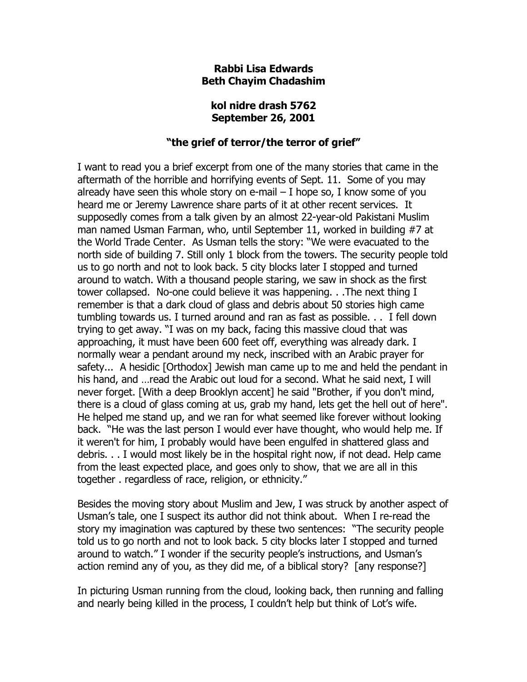## **Rabbi Lisa Edwards Beth Chayim Chadashim**

## **kol nidre drash 5762 September 26, 2001**

## **"the grief of terror/the terror of grief"**

I want to read you a brief excerpt from one of the many stories that came in the aftermath of the horrible and horrifying events of Sept. 11. Some of you may already have seen this whole story on e-mail  $-$  I hope so, I know some of you heard me or Jeremy Lawrence share parts of it at other recent services. It supposedly comes from a talk given by an almost 22-year-old Pakistani Muslim man named Usman Farman, who, until September 11, worked in building #7 at the World Trade Center. As Usman tells the story: "We were evacuated to the north side of building 7. Still only 1 block from the towers. The security people told us to go north and not to look back. 5 city blocks later I stopped and turned around to watch. With a thousand people staring, we saw in shock as the first tower collapsed. No-one could believe it was happening. . .The next thing I remember is that a dark cloud of glass and debris about 50 stories high came tumbling towards us. I turned around and ran as fast as possible. . . I fell down trying to get away. "I was on my back, facing this massive cloud that was approaching, it must have been 600 feet off, everything was already dark. I normally wear a pendant around my neck, inscribed with an Arabic prayer for safety... A hesidic [Orthodox] Jewish man came up to me and held the pendant in his hand, and …read the Arabic out loud for a second. What he said next, I will never forget. [With a deep Brooklyn accent] he said "Brother, if you don't mind, there is a cloud of glass coming at us, grab my hand, lets get the hell out of here". He helped me stand up, and we ran for what seemed like forever without looking back. "He was the last person I would ever have thought, who would help me. If it weren't for him, I probably would have been engulfed in shattered glass and debris. . . I would most likely be in the hospital right now, if not dead. Help came from the least expected place, and goes only to show, that we are all in this together . regardless of race, religion, or ethnicity."

Besides the moving story about Muslim and Jew, I was struck by another aspect of Usman's tale, one I suspect its author did not think about. When I re-read the story my imagination was captured by these two sentences: "The security people told us to go north and not to look back. 5 city blocks later I stopped and turned around to watch." I wonder if the security people's instructions, and Usman's action remind any of you, as they did me, of a biblical story? [any response?]

In picturing Usman running from the cloud, looking back, then running and falling and nearly being killed in the process, I couldn't help but think of Lot's wife.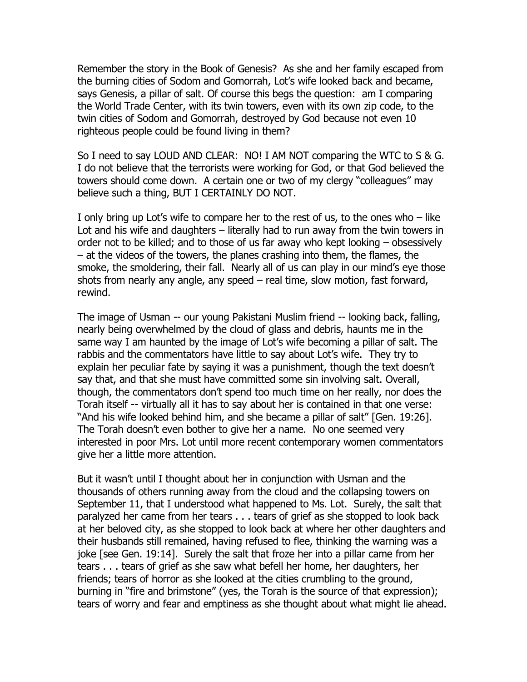Remember the story in the Book of Genesis? As she and her family escaped from the burning cities of Sodom and Gomorrah, Lot's wife looked back and became, says Genesis, a pillar of salt. Of course this begs the question: am I comparing the World Trade Center, with its twin towers, even with its own zip code, to the twin cities of Sodom and Gomorrah, destroyed by God because not even 10 righteous people could be found living in them?

So I need to say LOUD AND CLEAR: NO! I AM NOT comparing the WTC to S & G. I do not believe that the terrorists were working for God, or that God believed the towers should come down. A certain one or two of my clergy "colleagues" may believe such a thing, BUT I CERTAINLY DO NOT.

I only bring up Lot's wife to compare her to the rest of us, to the ones who – like Lot and his wife and daughters – literally had to run away from the twin towers in order not to be killed; and to those of us far away who kept looking – obsessively – at the videos of the towers, the planes crashing into them, the flames, the smoke, the smoldering, their fall. Nearly all of us can play in our mind's eye those shots from nearly any angle, any speed – real time, slow motion, fast forward, rewind.

The image of Usman -- our young Pakistani Muslim friend -- looking back, falling, nearly being overwhelmed by the cloud of glass and debris, haunts me in the same way I am haunted by the image of Lot's wife becoming a pillar of salt. The rabbis and the commentators have little to say about Lot's wife. They try to explain her peculiar fate by saying it was a punishment, though the text doesn't say that, and that she must have committed some sin involving salt. Overall, though, the commentators don't spend too much time on her really, nor does the Torah itself -- virtually all it has to say about her is contained in that one verse: "And his wife looked behind him, and she became a pillar of salt" [Gen. 19:26]. The Torah doesn't even bother to give her a name. No one seemed very interested in poor Mrs. Lot until more recent contemporary women commentators give her a little more attention.

But it wasn't until I thought about her in conjunction with Usman and the thousands of others running away from the cloud and the collapsing towers on September 11, that I understood what happened to Ms. Lot. Surely, the salt that paralyzed her came from her tears . . . tears of grief as she stopped to look back at her beloved city, as she stopped to look back at where her other daughters and their husbands still remained, having refused to flee, thinking the warning was a joke [see Gen. 19:14]. Surely the salt that froze her into a pillar came from her tears . . . tears of grief as she saw what befell her home, her daughters, her friends; tears of horror as she looked at the cities crumbling to the ground, burning in "fire and brimstone" (yes, the Torah is the source of that expression); tears of worry and fear and emptiness as she thought about what might lie ahead.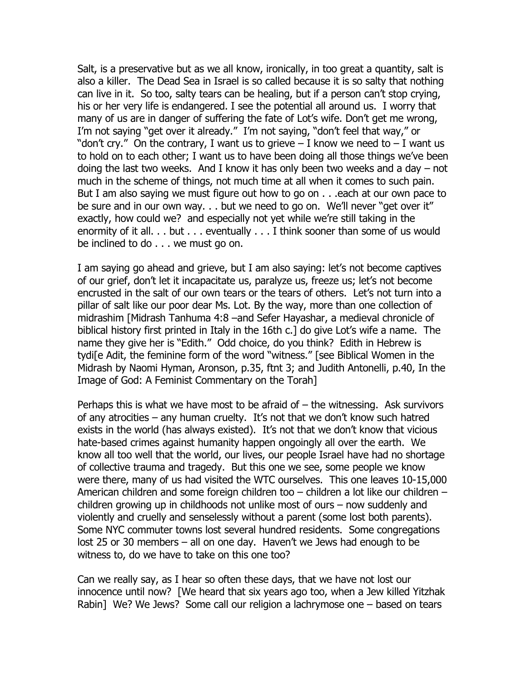Salt, is a preservative but as we all know, ironically, in too great a quantity, salt is also a killer. The Dead Sea in Israel is so called because it is so salty that nothing can live in it. So too, salty tears can be healing, but if a person can't stop crying, his or her very life is endangered. I see the potential all around us. I worry that many of us are in danger of suffering the fate of Lot's wife. Don't get me wrong, I'm not saying "get over it already." I'm not saying, "don't feel that way," or "don't cry." On the contrary, I want us to grieve  $-$  I know we need to  $-$  I want us to hold on to each other; I want us to have been doing all those things we've been doing the last two weeks. And I know it has only been two weeks and a day – not much in the scheme of things, not much time at all when it comes to such pain. But I am also saying we must figure out how to go on . . . each at our own pace to be sure and in our own way. . . but we need to go on. We'll never "get over it" exactly, how could we? and especially not yet while we're still taking in the enormity of it all. . . but . . . eventually . . . I think sooner than some of us would be inclined to do . . . we must go on.

I am saying go ahead and grieve, but I am also saying: let's not become captives of our grief, don't let it incapacitate us, paralyze us, freeze us; let's not become encrusted in the salt of our own tears or the tears of others. Let's not turn into a pillar of salt like our poor dear Ms. Lot. By the way, more than one collection of midrashim [Midrash Tanhuma 4:8 –and Sefer Hayashar, a medieval chronicle of biblical history first printed in Italy in the 16th c.] do give Lot's wife a name. The name they give her is "Edith." Odd choice, do you think? Edith in Hebrew is tydi[e Adit, the feminine form of the word "witness." [see Biblical Women in the Midrash by Naomi Hyman, Aronson, p.35, ftnt 3; and Judith Antonelli, p.40, In the Image of God: A Feminist Commentary on the Torah]

Perhaps this is what we have most to be afraid of  $-$  the witnessing. Ask survivors of any atrocities – any human cruelty. It's not that we don't know such hatred exists in the world (has always existed). It's not that we don't know that vicious hate-based crimes against humanity happen ongoingly all over the earth. We know all too well that the world, our lives, our people Israel have had no shortage of collective trauma and tragedy. But this one we see, some people we know were there, many of us had visited the WTC ourselves. This one leaves 10-15,000 American children and some foreign children too – children a lot like our children – children growing up in childhoods not unlike most of ours – now suddenly and violently and cruelly and senselessly without a parent (some lost both parents). Some NYC commuter towns lost several hundred residents. Some congregations lost 25 or 30 members – all on one day. Haven't we Jews had enough to be witness to, do we have to take on this one too?

Can we really say, as I hear so often these days, that we have not lost our innocence until now? [We heard that six years ago too, when a Jew killed Yitzhak Rabin] We? We Jews? Some call our religion a lachrymose one – based on tears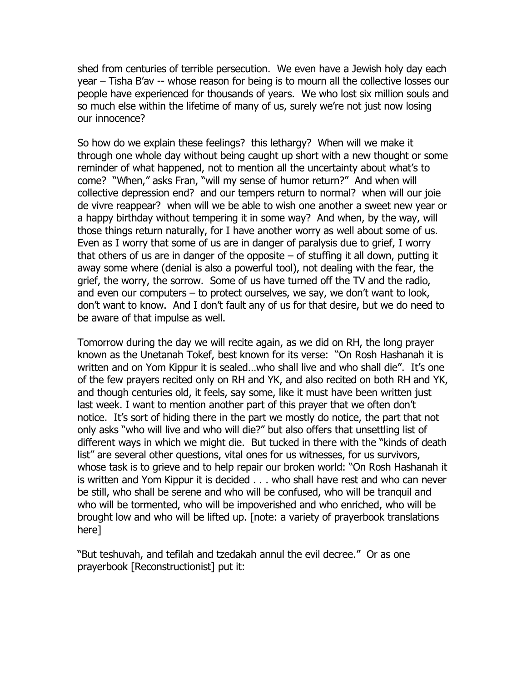shed from centuries of terrible persecution. We even have a Jewish holy day each year – Tisha B'av -- whose reason for being is to mourn all the collective losses our people have experienced for thousands of years. We who lost six million souls and so much else within the lifetime of many of us, surely we're not just now losing our innocence?

So how do we explain these feelings? this lethargy? When will we make it through one whole day without being caught up short with a new thought or some reminder of what happened, not to mention all the uncertainty about what's to come? "When," asks Fran, "will my sense of humor return?" And when will collective depression end? and our tempers return to normal? when will our joie de vivre reappear? when will we be able to wish one another a sweet new year or a happy birthday without tempering it in some way? And when, by the way, will those things return naturally, for I have another worry as well about some of us. Even as I worry that some of us are in danger of paralysis due to grief, I worry that others of us are in danger of the opposite  $-$  of stuffing it all down, putting it away some where (denial is also a powerful tool), not dealing with the fear, the grief, the worry, the sorrow. Some of us have turned off the TV and the radio, and even our computers – to protect ourselves, we say, we don't want to look, don't want to know. And I don't fault any of us for that desire, but we do need to be aware of that impulse as well.

Tomorrow during the day we will recite again, as we did on RH, the long prayer known as the Unetanah Tokef, best known for its verse: "On Rosh Hashanah it is written and on Yom Kippur it is sealed…who shall live and who shall die". It's one of the few prayers recited only on RH and YK, and also recited on both RH and YK, and though centuries old, it feels, say some, like it must have been written just last week. I want to mention another part of this prayer that we often don't notice. It's sort of hiding there in the part we mostly do notice, the part that not only asks "who will live and who will die?" but also offers that unsettling list of different ways in which we might die. But tucked in there with the "kinds of death list" are several other questions, vital ones for us witnesses, for us survivors, whose task is to grieve and to help repair our broken world: "On Rosh Hashanah it is written and Yom Kippur it is decided . . . who shall have rest and who can never be still, who shall be serene and who will be confused, who will be tranquil and who will be tormented, who will be impoverished and who enriched, who will be brought low and who will be lifted up. [note: a variety of prayerbook translations here]

"But teshuvah, and tefilah and tzedakah annul the evil decree." Or as one prayerbook [Reconstructionist] put it: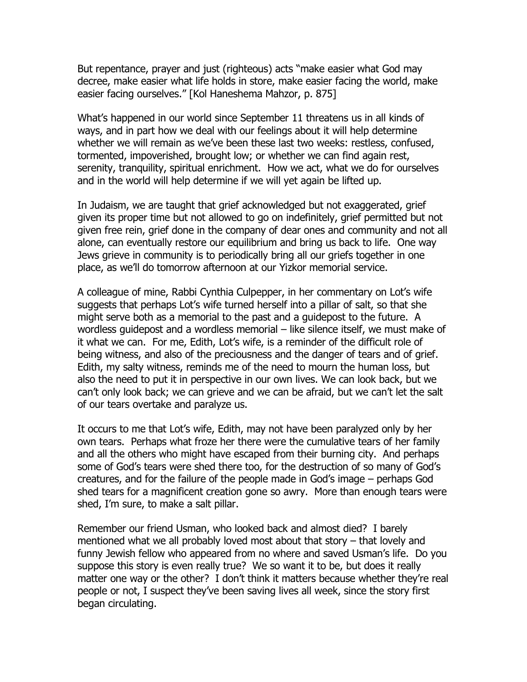But repentance, prayer and just (righteous) acts "make easier what God may decree, make easier what life holds in store, make easier facing the world, make easier facing ourselves." [Kol Haneshema Mahzor, p. 875]

What's happened in our world since September 11 threatens us in all kinds of ways, and in part how we deal with our feelings about it will help determine whether we will remain as we've been these last two weeks: restless, confused, tormented, impoverished, brought low; or whether we can find again rest, serenity, tranquility, spiritual enrichment. How we act, what we do for ourselves and in the world will help determine if we will yet again be lifted up.

In Judaism, we are taught that grief acknowledged but not exaggerated, grief given its proper time but not allowed to go on indefinitely, grief permitted but not given free rein, grief done in the company of dear ones and community and not all alone, can eventually restore our equilibrium and bring us back to life. One way Jews grieve in community is to periodically bring all our griefs together in one place, as we'll do tomorrow afternoon at our Yizkor memorial service.

A colleague of mine, Rabbi Cynthia Culpepper, in her commentary on Lot's wife suggests that perhaps Lot's wife turned herself into a pillar of salt, so that she might serve both as a memorial to the past and a guidepost to the future. A wordless guidepost and a wordless memorial – like silence itself, we must make of it what we can. For me, Edith, Lot's wife, is a reminder of the difficult role of being witness, and also of the preciousness and the danger of tears and of grief. Edith, my salty witness, reminds me of the need to mourn the human loss, but also the need to put it in perspective in our own lives. We can look back, but we can't only look back; we can grieve and we can be afraid, but we can't let the salt of our tears overtake and paralyze us.

It occurs to me that Lot's wife, Edith, may not have been paralyzed only by her own tears. Perhaps what froze her there were the cumulative tears of her family and all the others who might have escaped from their burning city. And perhaps some of God's tears were shed there too, for the destruction of so many of God's creatures, and for the failure of the people made in God's image – perhaps God shed tears for a magnificent creation gone so awry. More than enough tears were shed, I'm sure, to make a salt pillar.

Remember our friend Usman, who looked back and almost died? I barely mentioned what we all probably loved most about that story – that lovely and funny Jewish fellow who appeared from no where and saved Usman's life. Do you suppose this story is even really true? We so want it to be, but does it really matter one way or the other? I don't think it matters because whether they're real people or not, I suspect they've been saving lives all week, since the story first began circulating.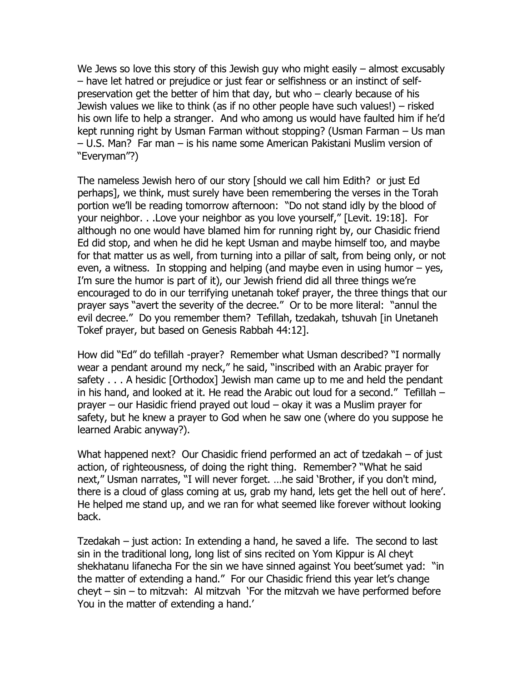We Jews so love this story of this Jewish guy who might easily – almost excusably – have let hatred or prejudice or just fear or selfishness or an instinct of selfpreservation get the better of him that day, but who – clearly because of his Jewish values we like to think (as if no other people have such values!) – risked his own life to help a stranger. And who among us would have faulted him if he'd kept running right by Usman Farman without stopping? (Usman Farman – Us man – U.S. Man? Far man – is his name some American Pakistani Muslim version of "Everyman"?)

The nameless Jewish hero of our story [should we call him Edith? or just Ed perhaps], we think, must surely have been remembering the verses in the Torah portion we'll be reading tomorrow afternoon: "Do not stand idly by the blood of your neighbor. . .Love your neighbor as you love yourself," [Levit. 19:18]. For although no one would have blamed him for running right by, our Chasidic friend Ed did stop, and when he did he kept Usman and maybe himself too, and maybe for that matter us as well, from turning into a pillar of salt, from being only, or not even, a witness. In stopping and helping (and maybe even in using humor – yes, I'm sure the humor is part of it), our Jewish friend did all three things we're encouraged to do in our terrifying unetanah tokef prayer, the three things that our prayer says "avert the severity of the decree." Or to be more literal: "annul the evil decree." Do you remember them? Tefillah, tzedakah, tshuvah [in Unetaneh Tokef prayer, but based on Genesis Rabbah 44:12].

How did "Ed" do tefillah -prayer? Remember what Usman described? "I normally wear a pendant around my neck," he said, "inscribed with an Arabic prayer for safety . . . A hesidic [Orthodox] Jewish man came up to me and held the pendant in his hand, and looked at it. He read the Arabic out loud for a second." Tefillah – prayer – our Hasidic friend prayed out loud – okay it was a Muslim prayer for safety, but he knew a prayer to God when he saw one (where do you suppose he learned Arabic anyway?).

What happened next? Our Chasidic friend performed an act of tzedakah – of just action, of righteousness, of doing the right thing. Remember? "What he said next," Usman narrates, "I will never forget. …he said 'Brother, if you don't mind, there is a cloud of glass coming at us, grab my hand, lets get the hell out of here'. He helped me stand up, and we ran for what seemed like forever without looking back.

Tzedakah – just action: In extending a hand, he saved a life. The second to last sin in the traditional long, long list of sins recited on Yom Kippur is Al cheyt shekhatanu lifanecha For the sin we have sinned against You beet'sumet yad: "in the matter of extending a hand." For our Chasidic friend this year let's change cheyt – sin – to mitzvah: Al mitzvah 'For the mitzvah we have performed before You in the matter of extending a hand.'